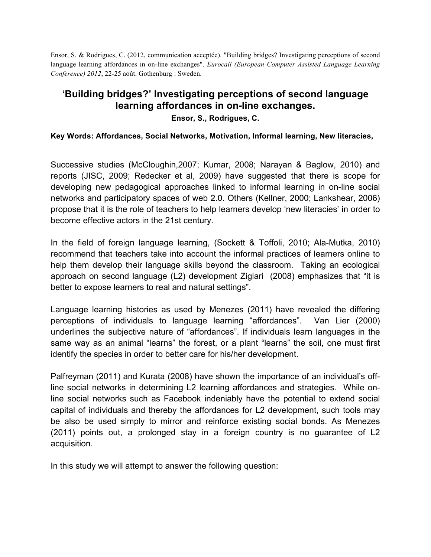Ensor, S. & Rodrigues, C. (2012, communication acceptée). "Building bridges? Investigating perceptions of second language learning affordances in on-line exchanges". *Eurocall (European Computer Assisted Language Learning Conference) 2012*, 22-25 août. Gothenburg : Sweden.

## **'Building bridges?' Investigating perceptions of second language learning affordances in on-line exchanges.**

**Ensor, S., Rodrigues, C.**

**Key Words: Affordances, Social Networks, Motivation, Informal learning, New literacies,**

Successive studies (McCloughin,2007; Kumar, 2008; Narayan & Baglow, 2010) and reports (JISC, 2009; Redecker et al, 2009) have suggested that there is scope for developing new pedagogical approaches linked to informal learning in on-line social networks and participatory spaces of web 2.0. Others (Kellner, 2000; Lankshear, 2006) propose that it is the role of teachers to help learners develop 'new literacies' in order to become effective actors in the 21st century.

In the field of foreign language learning, (Sockett & Toffoli, 2010; Ala-Mutka, 2010) recommend that teachers take into account the informal practices of learners online to help them develop their language skills beyond the classroom. Taking an ecological approach on second language (L2) development Ziglari (2008) emphasizes that "it is better to expose learners to real and natural settings".

Language learning histories as used by Menezes (2011) have revealed the differing perceptions of individuals to language learning "affordances". Van Lier (2000) underlines the subjective nature of "affordances". If individuals learn languages in the same way as an animal "learns" the forest, or a plant "learns" the soil, one must first identify the species in order to better care for his/her development.

Palfreyman (2011) and Kurata (2008) have shown the importance of an individual's offline social networks in determining L2 learning affordances and strategies. While online social networks such as Facebook indeniably have the potential to extend social capital of individuals and thereby the affordances for L2 development, such tools may be also be used simply to mirror and reinforce existing social bonds. As Menezes (2011) points out, a prolonged stay in a foreign country is no guarantee of L2 acquisition.

In this study we will attempt to answer the following question: